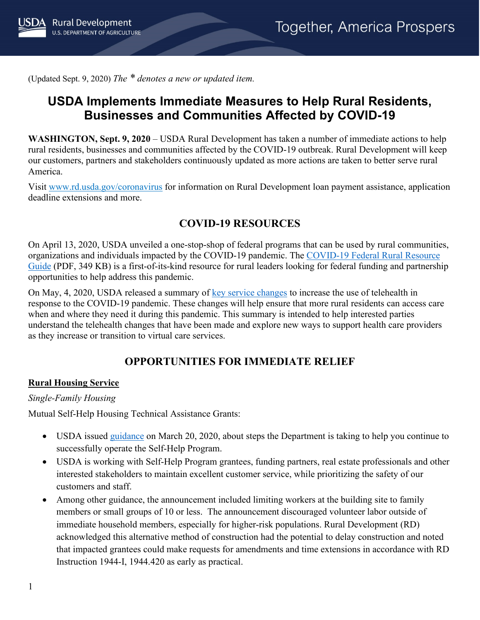(Updated Sept. 9, 2020) *The \* denotes a new or updated item.*

# **USDA Implements Immediate Measures to Help Rural Residents, Businesses and Communities Affected by COVID-19**

**WASHINGTON, Sept. 9, 2020** – USDA Rural Development has taken a number of immediate actions to help rural residents, businesses and communities affected by the COVID-19 outbreak. Rural Development will keep our customers, partners and stakeholders continuously updated as more actions are taken to better serve rural America.

Visit [www.rd.usda.gov/coronavirus](https://www.rd.usda.gov/coronavirus) for information on Rural Development loan payment assistance, application deadline extensions and more.

### **COVID-19 RESOURCES**

On April 13, 2020, USDA unveiled a one-stop-shop of federal programs that can be used by rural communities, organizations and individuals impacted by the COVID-19 pandemic. The [COVID-19 Federal Rural Resource](https://www.rd.usda.gov/sites/default/files/USDA_COVID-19_Fed_Rural_Resource_Guide.pdf)  [Guide](https://www.rd.usda.gov/sites/default/files/USDA_COVID-19_Fed_Rural_Resource_Guide.pdf) (PDF, 349 KB) is a first-of-its-kind resource for rural leaders looking for federal funding and partnership opportunities to help address this pandemic.

On May, 4, 2020, USDA released a summary of [key service changes](https://www.rd.usda.gov/sites/default/files/RD_RuralTelehealthFactSheet_20200501.pdf) to increase the use of telehealth in response to the COVID-19 pandemic. These changes will help ensure that more rural residents can access care when and where they need it during this pandemic. This summary is intended to help interested parties understand the telehealth changes that have been made and explore new ways to support health care providers as they increase or transition to virtual care services.

## **OPPORTUNITIES FOR IMMEDIATE RELIEF**

#### **Rural Housing Service**

#### *Single-Family Housing*

Mutual Self-Help Housing Technical Assistance Grants:

- USDA issued [guidance](https://www.rd.usda.gov/sites/default/files/USDA_SA_COVID19_SFHContinuity03202020.pdf) on March 20, 2020, about steps the Department is taking to help you continue to successfully operate the Self-Help Program.
- USDA is working with Self-Help Program grantees, funding partners, real estate professionals and other interested stakeholders to maintain excellent customer service, while prioritizing the safety of our customers and staff.
- Among other guidance, the announcement included limiting workers at the building site to family members or small groups of 10 or less. The announcement discouraged volunteer labor outside of immediate household members, especially for higher-risk populations. Rural Development (RD) acknowledged this alternative method of construction had the potential to delay construction and noted that impacted grantees could make requests for amendments and time extensions in accordance with RD Instruction 1944-I, 1944.420 as early as practical.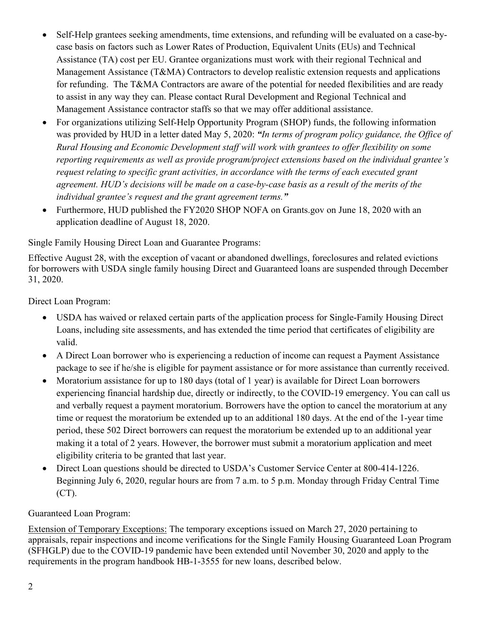- Self-Help grantees seeking amendments, time extensions, and refunding will be evaluated on a case-bycase basis on factors such as Lower Rates of Production, Equivalent Units (EUs) and Technical Assistance (TA) cost per EU. Grantee organizations must work with their regional Technical and Management Assistance (T&MA) Contractors to develop realistic extension requests and applications for refunding. The T&MA Contractors are aware of the potential for needed flexibilities and are ready to assist in any way they can. Please contact Rural Development and Regional Technical and Management Assistance contractor staffs so that we may offer additional assistance.
- For organizations utilizing Self-Help Opportunity Program (SHOP) funds, the following information was provided by HUD in a letter dated May 5, 2020: *"In terms of program policy guidance, the Office of Rural Housing and Economic Development staff will work with grantees to offer flexibility on some reporting requirements as well as provide program/project extensions based on the individual grantee's request relating to specific grant activities, in accordance with the terms of each executed grant agreement. HUD's decisions will be made on a case-by-case basis as a result of the merits of the individual grantee's request and the grant agreement terms."*
- Furthermore, HUD published the FY2020 SHOP NOFA on Grants.gov on June 18, 2020 with an application deadline of August 18, 2020.

Single Family Housing Direct Loan and Guarantee Programs:

Effective August 28, with the exception of vacant or abandoned dwellings, foreclosures and related evictions for borrowers with USDA single family housing Direct and Guaranteed loans are suspended through December 31, 2020.

Direct Loan Program:

- USDA has waived or relaxed certain parts of the application process for Single-Family Housing Direct Loans, including site assessments, and has extended the time period that certificates of eligibility are valid.
- A Direct Loan borrower who is experiencing a reduction of income can request a Payment Assistance package to see if he/she is eligible for payment assistance or for more assistance than currently received.
- Moratorium assistance for up to 180 days (total of 1 year) is available for Direct Loan borrowers experiencing financial hardship due, directly or indirectly, to the COVID-19 emergency. You can call us and verbally request a payment moratorium. Borrowers have the option to cancel the moratorium at any time or request the moratorium be extended up to an additional 180 days. At the end of the 1-year time period, these 502 Direct borrowers can request the moratorium be extended up to an additional year making it a total of 2 years. However, the borrower must submit a moratorium application and meet eligibility criteria to be granted that last year.
- Direct Loan questions should be directed to USDA's Customer Service Center at 800-414-1226. Beginning July 6, 2020, regular hours are from 7 a.m. to 5 p.m. Monday through Friday Central Time (CT).

#### Guaranteed Loan Program:

Extension of Temporary Exceptions: The temporary exceptions issued on March 27, 2020 pertaining to appraisals, repair inspections and income verifications for the Single Family Housing Guaranteed Loan Program (SFHGLP) due to the COVID-19 pandemic have been extended until November 30, 2020 and apply to the requirements in the program handbook HB-1-3555 for new loans, described below.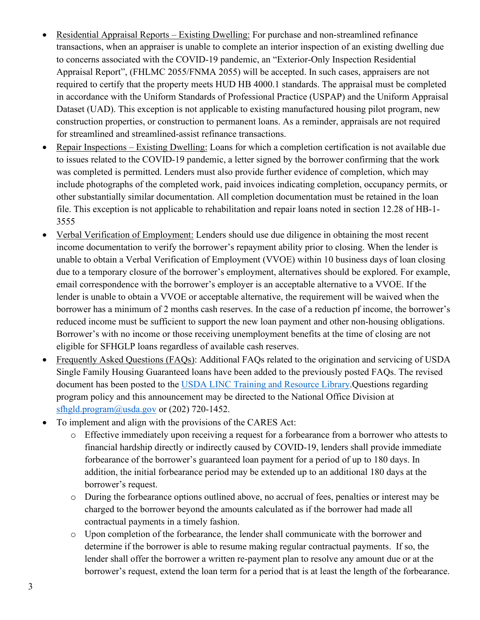- Residential Appraisal Reports Existing Dwelling: For purchase and non-streamlined refinance transactions, when an appraiser is unable to complete an interior inspection of an existing dwelling due to concerns associated with the COVID-19 pandemic, an "Exterior-Only Inspection Residential Appraisal Report", (FHLMC 2055/FNMA 2055) will be accepted. In such cases, appraisers are not required to certify that the property meets HUD HB 4000.1 standards. The appraisal must be completed in accordance with the Uniform Standards of Professional Practice (USPAP) and the Uniform Appraisal Dataset (UAD). This exception is not applicable to existing manufactured housing pilot program, new construction properties, or construction to permanent loans. As a reminder, appraisals are not required for streamlined and streamlined-assist refinance transactions.
- Repair Inspections Existing Dwelling: Loans for which a completion certification is not available due to issues related to the COVID-19 pandemic, a letter signed by the borrower confirming that the work was completed is permitted. Lenders must also provide further evidence of completion, which may include photographs of the completed work, paid invoices indicating completion, occupancy permits, or other substantially similar documentation. All completion documentation must be retained in the loan file. This exception is not applicable to rehabilitation and repair loans noted in section 12.28 of HB-1- 3555
- Verbal Verification of Employment: Lenders should use due diligence in obtaining the most recent income documentation to verify the borrower's repayment ability prior to closing. When the lender is unable to obtain a Verbal Verification of Employment (VVOE) within 10 business days of loan closing due to a temporary closure of the borrower's employment, alternatives should be explored. For example, email correspondence with the borrower's employer is an acceptable alternative to a VVOE. If the lender is unable to obtain a VVOE or acceptable alternative, the requirement will be waived when the borrower has a minimum of 2 months cash reserves. In the case of a reduction pf income, the borrower's reduced income must be sufficient to support the new loan payment and other non-housing obligations. Borrower's with no income or those receiving unemployment benefits at the time of closing are not eligible for SFHGLP loans regardless of available cash reserves.
- Frequently Asked Questions (FAQs): Additional FAQs related to the origination and servicing of USDA Single Family Housing Guaranteed loans have been added to the previously posted FAQs. The revised document has been posted to the [USDA LINC Training and Resource Library.](https://www.rd.usda.gov/sites/default/files/RD-GRH-OriginationServicingFAQs.pdf)Questions regarding program policy and this announcement may be directed to the National Office Division at [sfhgld.program@usda.gov](mailto:sfhgld.program@usda.gov) or (202) 720-1452.
- To implement and align with the provisions of the CARES Act:
	- o Effective immediately upon receiving a request for a forbearance from a borrower who attests to financial hardship directly or indirectly caused by COVID-19, lenders shall provide immediate forbearance of the borrower's guaranteed loan payment for a period of up to 180 days. In addition, the initial forbearance period may be extended up to an additional 180 days at the borrower's request.
	- o During the forbearance options outlined above, no accrual of fees, penalties or interest may be charged to the borrower beyond the amounts calculated as if the borrower had made all contractual payments in a timely fashion.
	- o Upon completion of the forbearance, the lender shall communicate with the borrower and determine if the borrower is able to resume making regular contractual payments. If so, the lender shall offer the borrower a written re-payment plan to resolve any amount due or at the borrower's request, extend the loan term for a period that is at least the length of the forbearance.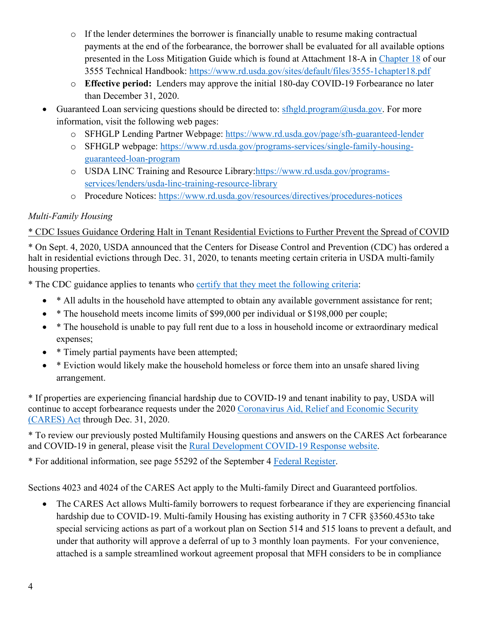- o If the lender determines the borrower is financially unable to resume making contractual payments at the end of the forbearance, the borrower shall be evaluated for all available options presented in the Loss Mitigation Guide which is found at Attachment 18-A in Chapter 18 of our 3555 Technical Handbook:<https://www.rd.usda.gov/sites/default/files/3555-1chapter18.pdf>
- o **Effective period:** Lenders may approve the initial 180-day COVID-19 Forbearance no later than December 31, 2020.
- Guaranteed Loan servicing questions should be directed to:  $sfhgld,program@usda.gov$ . For more information, visit the following web pages:
	- o SFHGLP Lending Partner Webpage:<https://www.rd.usda.gov/page/sfh-guaranteed-lender>
	- o SFHGLP webpage: [https://www.rd.usda.gov/programs-services/single-family-housing](https://www.rd.usda.gov/programs-services/single-family-housing-guaranteed-loan-program)[guaranteed-loan-program](https://www.rd.usda.gov/programs-services/single-family-housing-guaranteed-loan-program)
	- o USDA LINC Training and Resource Library[:https://www.rd.usda.gov/programs](https://www.rd.usda.gov/programs-services/lenders/usda-linc-training-resource-library)[services/lenders/usda-linc-training-resource-library](https://www.rd.usda.gov/programs-services/lenders/usda-linc-training-resource-library)
	- o Procedure Notices:<https://www.rd.usda.gov/resources/directives/procedures-notices>

### *Multi-Family Housing*

\* CDC Issues Guidance Ordering Halt in Tenant Residential Evictions to Further Prevent the Spread of COVID

\* On Sept. 4, 2020, USDA announced that the Centers for Disease Control and Prevention (CDC) has ordered a halt in residential evictions through Dec. 31, 2020, to tenants meeting certain criteria in USDA multi-family housing properties.

\* The CDC guidance applies to tenants who [certify that they meet the following criteria:](https://www.cdc.gov/coronavirus/2019-ncov/downloads/declaration-form.pdf)

- \* All adults in the household have attempted to obtain any available government assistance for rent;
- \* The household meets income limits of \$99,000 per individual or \$198,000 per couple;
- \* The household is unable to pay full rent due to a loss in household income or extraordinary medical expenses;
- \* Timely partial payments have been attempted;
- \* Eviction would likely make the household homeless or force them into an unsafe shared living arrangement.

\* If properties are experiencing financial hardship due to COVID-19 and tenant inability to pay, USDA will continue to accept forbearance requests under the 2020 Coronavirus Aid, Relief and Economic Security [\(CARES\) Act](https://www.congress.gov/bill/116th-congress/house-bill/748/text) through Dec. 31, 2020.

\* To review our previously posted Multifamily Housing questions and answers on the CARES Act forbearance and COVID-19 in general, please visit the [Rural Development COVID-19 Response website.](https://www.rd.usda.gov/coronavirus)

\* For additional information, see page 55292 of the September 4 [Federal Register.](https://www.govinfo.gov/content/pkg/FR-2020-09-04/pdf/2020-19654.pdf)

Sections 4023 and 4024 of the CARES Act apply to the Multi-family Direct and Guaranteed portfolios.

The CARES Act allows Multi-family borrowers to request forbearance if they are experiencing financial hardship due to COVID-19. Multi-family Housing has existing authority in 7 CFR §3560.453to take special servicing actions as part of a workout plan on Section 514 and 515 loans to prevent a default, and under that authority will approve a deferral of up to 3 monthly loan payments. For your convenience, attached is a sample streamlined workout agreement proposal that MFH considers to be in compliance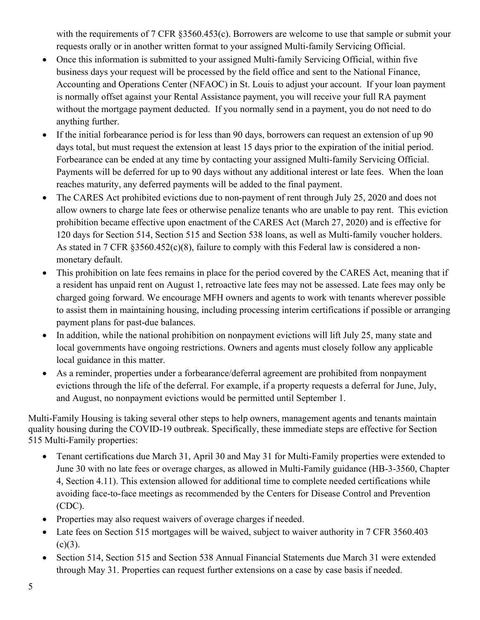with the requirements of 7 CFR §3560.453(c). Borrowers are welcome to use that sample or submit your requests orally or in another written format to your assigned Multi-family Servicing Official.

- Once this information is submitted to your assigned Multi-family Servicing Official, within five business days your request will be processed by the field office and sent to the National Finance, Accounting and Operations Center (NFAOC) in St. Louis to adjust your account. If your loan payment is normally offset against your Rental Assistance payment, you will receive your full RA payment without the mortgage payment deducted. If you normally send in a payment, you do not need to do anything further.
- If the initial forbearance period is for less than 90 days, borrowers can request an extension of up 90 days total, but must request the extension at least 15 days prior to the expiration of the initial period. Forbearance can be ended at any time by contacting your assigned Multi-family Servicing Official. Payments will be deferred for up to 90 days without any additional interest or late fees. When the loan reaches maturity, any deferred payments will be added to the final payment.
- The CARES Act prohibited evictions due to non-payment of rent through July 25, 2020 and does not allow owners to charge late fees or otherwise penalize tenants who are unable to pay rent. This eviction prohibition became effective upon enactment of the CARES Act (March 27, 2020) and is effective for 120 days for Section 514, Section 515 and Section 538 loans, as well as Multi-family voucher holders. As stated in 7 CFR §3560.452(c)(8), failure to comply with this Federal law is considered a nonmonetary default.
- This prohibition on late fees remains in place for the period covered by the CARES Act, meaning that if a resident has unpaid rent on August 1, retroactive late fees may not be assessed. Late fees may only be charged going forward. We encourage MFH owners and agents to work with tenants wherever possible to assist them in maintaining housing, including processing interim certifications if possible or arranging payment plans for past-due balances.
- In addition, while the national prohibition on nonpayment evictions will lift July 25, many state and local governments have ongoing restrictions. Owners and agents must closely follow any applicable local guidance in this matter.
- As a reminder, properties under a forbearance/deferral agreement are prohibited from nonpayment evictions through the life of the deferral. For example, if a property requests a deferral for June, July, and August, no nonpayment evictions would be permitted until September 1.

Multi-Family Housing is taking several other steps to help owners, management agents and tenants maintain quality housing during the COVID-19 outbreak. Specifically, these immediate steps are effective for Section 515 Multi-Family properties:

- Tenant certifications due March 31, April 30 and May 31 for Multi-Family properties were extended to June 30 with no late fees or overage charges, as allowed in Multi-Family guidance (HB-3-3560, Chapter 4, Section 4.11). This extension allowed for additional time to complete needed certifications while avoiding face-to-face meetings as recommended by the Centers for Disease Control and Prevention (CDC).
- Properties may also request waivers of overage charges if needed.
- Late fees on Section 515 mortgages will be waived, subject to waiver authority in 7 CFR 3560.403  $(c)(3)$ .
- Section 514, Section 515 and Section 538 Annual Financial Statements due March 31 were extended through May 31. Properties can request further extensions on a case by case basis if needed.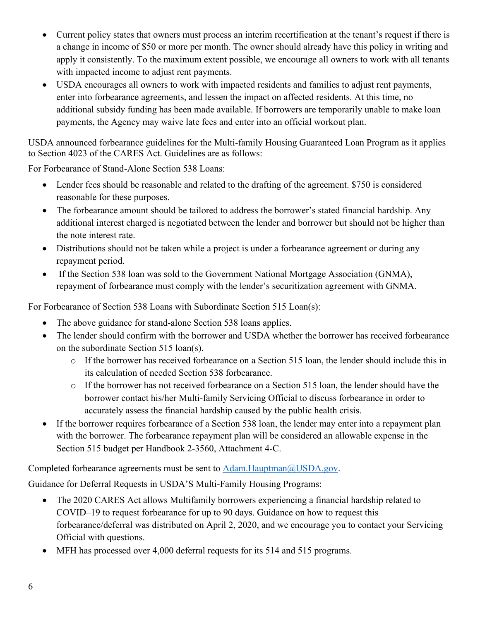- Current policy states that owners must process an interim recertification at the tenant's request if there is a change in income of \$50 or more per month. The owner should already have this policy in writing and apply it consistently. To the maximum extent possible, we encourage all owners to work with all tenants with impacted income to adjust rent payments.
- USDA encourages all owners to work with impacted residents and families to adjust rent payments, enter into forbearance agreements, and lessen the impact on affected residents. At this time, no additional subsidy funding has been made available. If borrowers are temporarily unable to make loan payments, the Agency may waive late fees and enter into an official workout plan.

USDA announced forbearance guidelines for the Multi-family Housing Guaranteed Loan Program as it applies to Section 4023 of the CARES Act. Guidelines are as follows:

For Forbearance of Stand-Alone Section 538 Loans:

- Lender fees should be reasonable and related to the drafting of the agreement. \$750 is considered reasonable for these purposes.
- The forbearance amount should be tailored to address the borrower's stated financial hardship. Any additional interest charged is negotiated between the lender and borrower but should not be higher than the note interest rate.
- Distributions should not be taken while a project is under a forbearance agreement or during any repayment period.
- If the Section 538 loan was sold to the Government National Mortgage Association (GNMA), repayment of forbearance must comply with the lender's securitization agreement with GNMA.

For Forbearance of Section 538 Loans with Subordinate Section 515 Loan(s):

- The above guidance for stand-alone Section 538 loans applies.
- The lender should confirm with the borrower and USDA whether the borrower has received forbearance on the subordinate Section 515 loan(s).
	- o If the borrower has received forbearance on a Section 515 loan, the lender should include this in its calculation of needed Section 538 forbearance.
	- o If the borrower has not received forbearance on a Section 515 loan, the lender should have the borrower contact his/her Multi-family Servicing Official to discuss forbearance in order to accurately assess the financial hardship caused by the public health crisis.
- If the borrower requires forbearance of a Section 538 loan, the lender may enter into a repayment plan with the borrower. The forbearance repayment plan will be considered an allowable expense in the Section 515 budget per Handbook 2-3560, Attachment 4-C.

Completed forbearance agreements must be sent to [Adam.Hauptman@USDA.gov.](mailto:Adam.Hauptman@USDA.gov)

Guidance for Deferral Requests in USDA'S Multi-Family Housing Programs:

- The 2020 CARES Act allows Multifamily borrowers experiencing a financial hardship related to COVID–19 to request forbearance for up to 90 days. Guidance on how to request this forbearance/deferral was distributed on April 2, 2020, and we encourage you to contact your Servicing Official with questions.
- MFH has processed over 4,000 deferral requests for its 514 and 515 programs.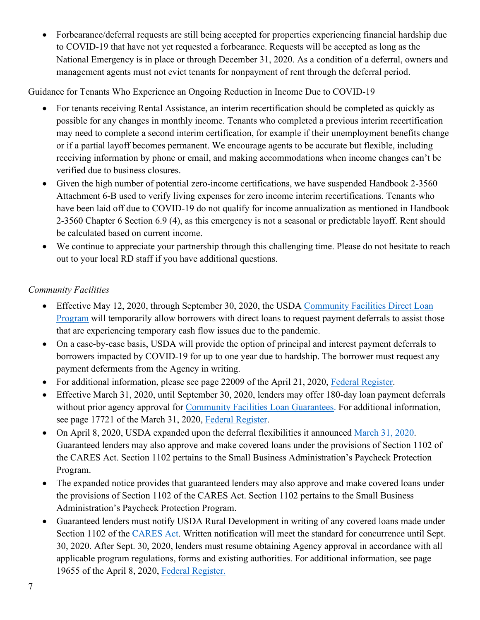• Forbearance/deferral requests are still being accepted for properties experiencing financial hardship due to COVID-19 that have not yet requested a forbearance. Requests will be accepted as long as the National Emergency is in place or through December 31, 2020. As a condition of a deferral, owners and management agents must not evict tenants for nonpayment of rent through the deferral period.

Guidance for Tenants Who Experience an Ongoing Reduction in Income Due to COVID-19

- For tenants receiving Rental Assistance, an interim recertification should be completed as quickly as possible for any changes in monthly income. Tenants who completed a previous interim recertification may need to complete a second interim certification, for example if their unemployment benefits change or if a partial layoff becomes permanent. We encourage agents to be accurate but flexible, including receiving information by phone or email, and making accommodations when income changes can't be verified due to business closures.
- Given the high number of potential zero-income certifications, we have suspended Handbook 2-3560 Attachment 6-B used to verify living expenses for zero income interim recertifications. Tenants who have been laid off due to COVID-19 do not qualify for income annualization as mentioned in Handbook 2-3560 Chapter 6 Section 6.9 (4), as this emergency is not a seasonal or predictable layoff. Rent should be calculated based on current income.
- We continue to appreciate your partnership through this challenging time. Please do not hesitate to reach out to your local RD staff if you have additional questions.

### *Community Facilities*

- Effective May 12, 2020, through September 30, 2020, the USDA Community Facilities Direct Loan [Program](https://www.rd.usda.gov/programs-services/community-facilities-direct-loan-grant-program) will temporarily allow borrowers with direct loans to request payment deferrals to assist those that are experiencing temporary cash flow issues due to the pandemic.
- On a case-by-case basis, USDA will provide the option of principal and interest payment deferrals to borrowers impacted by COVID-19 for up to one year due to hardship. The borrower must request any payment deferments from the Agency in writing.
- For additional information, please see page 22009 of the April 21, 2020, [Federal Register.](https://www.govinfo.gov/content/pkg/FR-2020-04-21/pdf/2020-08429.pdf)
- Effective March 31, 2020, until September 30, 2020, lenders may offer 180-day loan payment deferrals without prior agency approval for [Community Facilities Loan Guarantees.](https://www.rd.usda.gov/programs-services/community-facilities-guaranteed-loan-program) For additional information, see page 17721 of the March 31, 2020, [Federal Register.](https://www.govinfo.gov/content/pkg/FR-2020-03-31/pdf/2020-06706.pdf)
- On April 8, 2020, USDA expanded upon the deferral flexibilities it announced [March 31, 2020.](https://www.rd.usda.gov/sites/default/files/USDA_RD_SA_COVID19_Guarantee_Loan_Deferral_Payments03312020.pdf) Guaranteed lenders may also approve and make covered loans under the provisions of Section 1102 of the CARES Act. Section 1102 pertains to the Small Business Administration's Paycheck Protection Program.
- The expanded notice provides that guaranteed lenders may also approve and make covered loans under the provisions of Section 1102 of the CARES Act. Section 1102 pertains to the Small Business Administration's Paycheck Protection Program.
- Guaranteed lenders must notify USDA Rural Development in writing of any covered loans made under Section 1102 of the [CARES Act.](https://www.congress.gov/bill/116th-congress/senate-bill/3548/text) Written notification will meet the standard for concurrence until Sept. 30, 2020. After Sept. 30, 2020, lenders must resume obtaining Agency approval in accordance with all applicable program regulations, forms and existing authorities. For additional information, see page 19655 of the April 8, 2020, [Federal Register.](https://www.govinfo.gov/content/pkg/FR-2020-04-08/pdf/2020-07487.pdf)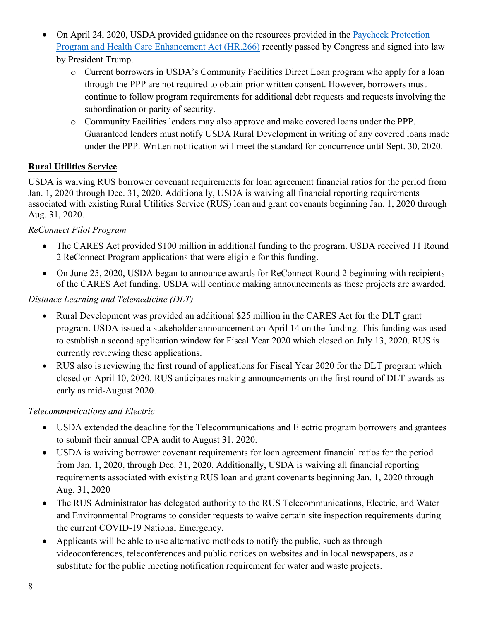- On April 24, 2020, USDA provided guidance on the resources provided in the [Paycheck Protection](https://www.congress.gov/bill/116th-congress/house-bill/266?q=%7B%22search%22%3A%5B%22HR+266%22%5D%7D&s=1&r=1)  [Program and Health Care Enhancement Act \(HR.266\)](https://www.congress.gov/bill/116th-congress/house-bill/266?q=%7B%22search%22%3A%5B%22HR+266%22%5D%7D&s=1&r=1) recently passed by Congress and signed into law by President Trump.
	- - o Current borrowers in USDA's Community Facilities Direct Loan program who apply for a loan through the PPP are not required to obtain prior written consent. However, borrowers must continue to follow program requirements for additional debt requests and requests involving the subordination or parity of security.
		- o Community Facilities lenders may also approve and make covered loans under the PPP. Guaranteed lenders must notify USDA Rural Development in writing of any covered loans made under the PPP. Written notification will meet the standard for concurrence until Sept. 30, 2020.

### **Rural Utilities Service**

USDA is waiving RUS borrower covenant requirements for loan agreement financial ratios for the period from Jan. 1, 2020 through Dec. 31, 2020. Additionally, USDA is waiving all financial reporting requirements associated with existing Rural Utilities Service (RUS) loan and grant covenants beginning Jan. 1, 2020 through Aug. 31, 2020.

#### *ReConnect Pilot Program*

- The CARES Act provided \$100 million in additional funding to the program. USDA received 11 Round 2 ReConnect Program applications that were eligible for this funding.
- On June 25, 2020, USDA began to announce awards for ReConnect Round 2 beginning with recipients of the CARES Act funding. USDA will continue making announcements as these projects are awarded.

### *Distance Learning and Telemedicine (DLT)*

- Rural Development was provided an additional \$25 million in the CARES Act for the DLT grant program. USDA issued a stakeholder announcement on April 14 on the funding. This funding was used to establish a second application window for Fiscal Year 2020 which closed on July 13, 2020. RUS is currently reviewing these applications.
- RUS also is reviewing the first round of applications for Fiscal Year 2020 for the DLT program which closed on April 10, 2020. RUS anticipates making announcements on the first round of DLT awards as early as mid-August 2020.

#### *Telecommunications and Electric*

- USDA extended the deadline for the Telecommunications and Electric program borrowers and grantees to submit their annual CPA audit to August 31, 2020.
- USDA is waiving borrower covenant requirements for loan agreement financial ratios for the period from Jan. 1, 2020, through Dec. 31, 2020. Additionally, USDA is waiving all financial reporting requirements associated with existing RUS loan and grant covenants beginning Jan. 1, 2020 through Aug. 31, 2020
- The RUS Administrator has delegated authority to the RUS Telecommunications, Electric, and Water and Environmental Programs to consider requests to waive certain site inspection requirements during the current COVID-19 National Emergency.
- Applicants will be able to use alternative methods to notify the public, such as through videoconferences, teleconferences and public notices on websites and in local newspapers, as a substitute for the public meeting notification requirement for water and waste projects.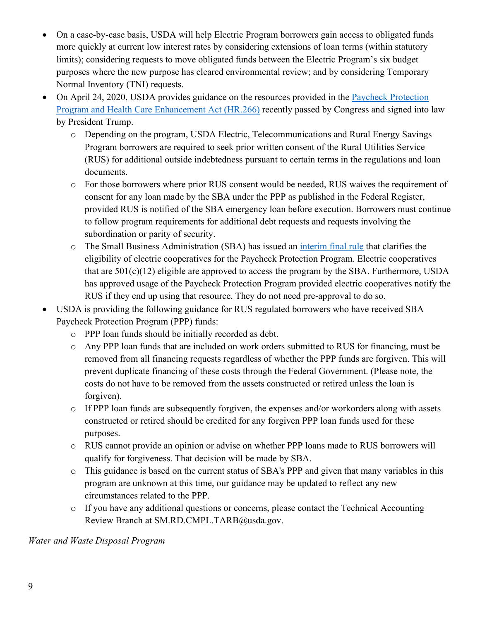- On a case-by-case basis, USDA will help Electric Program borrowers gain access to obligated funds more quickly at current low interest rates by considering extensions of loan terms (within statutory limits); considering requests to move obligated funds between the Electric Program's six budget purposes where the new purpose has cleared environmental review; and by considering Temporary Normal Inventory (TNI) requests.
- On April 24, 2020, USDA provides guidance on the resources provided in the [Paycheck Protection](https://www.congress.gov/bill/116th-congress/house-bill/266?q=%7B%22search%22%3A%5B%22HR+266%22%5D%7D&s=1&r=1)  [Program and Health Care Enhancement Act \(HR.266\)](https://www.congress.gov/bill/116th-congress/house-bill/266?q=%7B%22search%22%3A%5B%22HR+266%22%5D%7D&s=1&r=1) recently passed by Congress and signed into law by President Trump.
	- o Depending on the program, USDA Electric, Telecommunications and Rural Energy Savings Program borrowers are required to seek prior written consent of the Rural Utilities Service (RUS) for additional outside indebtedness pursuant to certain terms in the regulations and loan documents.
	- o For those borrowers where prior RUS consent would be needed, RUS waives the requirement of consent for any loan made by the SBA under the PPP as published in the Federal Register, provided RUS is notified of the SBA emergency loan before execution. Borrowers must continue to follow program requirements for additional debt requests and requests involving the subordination or parity of security.
	- o The Small Business Administration (SBA) has issued an [interim final rule](https://www.govinfo.gov/content/pkg/FR-2020-05-19/pdf/2020-10674.pdf) that clarifies the eligibility of electric cooperatives for the Paycheck Protection Program. Electric cooperatives that are  $501(c)(12)$  eligible are approved to access the program by the SBA. Furthermore, USDA has approved usage of the Paycheck Protection Program provided electric cooperatives notify the RUS if they end up using that resource. They do not need pre-approval to do so.
- USDA is providing the following guidance for RUS regulated borrowers who have received SBA Paycheck Protection Program (PPP) funds:
	- o PPP loan funds should be initially recorded as debt.
	- o Any PPP loan funds that are included on work orders submitted to RUS for financing, must be removed from all financing requests regardless of whether the PPP funds are forgiven. This will prevent duplicate financing of these costs through the Federal Government. (Please note, the costs do not have to be removed from the assets constructed or retired unless the loan is forgiven).
	- o If PPP loan funds are subsequently forgiven, the expenses and/or workorders along with assets constructed or retired should be credited for any forgiven PPP loan funds used for these purposes.
	- o RUS cannot provide an opinion or advise on whether PPP loans made to RUS borrowers will qualify for forgiveness. That decision will be made by SBA.
	- o This guidance is based on the current status of SBA's PPP and given that many variables in this program are unknown at this time, our guidance may be updated to reflect any new circumstances related to the PPP.
	- o If you have any additional questions or concerns, please contact the Technical Accounting Review Branch at SM.RD.CMPL.TARB@usda.gov.

*Water and Waste Disposal Program*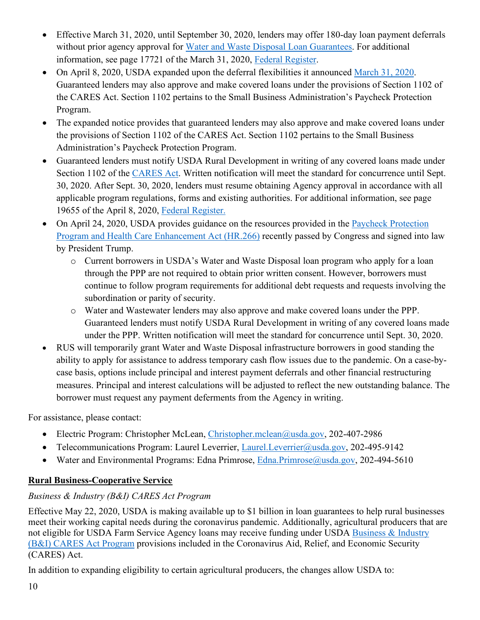- Effective March 31, 2020, until September 30, 2020, lenders may offer 180-day loan payment deferrals without prior agency approval for [Water and Waste Disposal Loan Guarantees.](https://www.rd.usda.gov/programs-services/water-waste-disposal-loan-guarantees) For additional information, see page 17721 of the March 31, 2020, [Federal Register.](https://www.govinfo.gov/content/pkg/FR-2020-03-31/pdf/2020-06706.pdf)
- On April 8, 2020, USDA expanded upon the deferral flexibilities it announced [March 31, 2020.](https://www.rd.usda.gov/sites/default/files/USDA_RD_SA_COVID19_Guarantee_Loan_Deferral_Payments03312020.pdf) Guaranteed lenders may also approve and make covered loans under the provisions of Section 1102 of the CARES Act. Section 1102 pertains to the Small Business Administration's Paycheck Protection Program.
- The expanded notice provides that guaranteed lenders may also approve and make covered loans under the provisions of Section 1102 of the CARES Act. Section 1102 pertains to the Small Business Administration's Paycheck Protection Program.
- Guaranteed lenders must notify USDA Rural Development in writing of any covered loans made under Section 1102 of the [CARES Act.](https://www.congress.gov/bill/116th-congress/senate-bill/3548/text) Written notification will meet the standard for concurrence until Sept. 30, 2020. After Sept. 30, 2020, lenders must resume obtaining Agency approval in accordance with all applicable program regulations, forms and existing authorities. For additional information, see page 19655 of the April 8, 2020, [Federal Register.](https://www.govinfo.gov/content/pkg/FR-2020-04-08/pdf/2020-07487.pdf)
- On April 24, 2020, USDA provides guidance on the resources provided in the [Paycheck Protection](https://www.congress.gov/bill/116th-congress/house-bill/266?q=%7B%22search%22%3A%5B%22HR+266%22%5D%7D&s=1&r=1)  [Program and Health Care Enhancement Act \(HR.266\)](https://www.congress.gov/bill/116th-congress/house-bill/266?q=%7B%22search%22%3A%5B%22HR+266%22%5D%7D&s=1&r=1) recently passed by Congress and signed into law by President Trump.
	- o Current borrowers in USDA's Water and Waste Disposal loan program who apply for a loan through the PPP are not required to obtain prior written consent. However, borrowers must continue to follow program requirements for additional debt requests and requests involving the subordination or parity of security.
	- o Water and Wastewater lenders may also approve and make covered loans under the PPP. Guaranteed lenders must notify USDA Rural Development in writing of any covered loans made under the PPP. Written notification will meet the standard for concurrence until Sept. 30, 2020.
- RUS will temporarily grant Water and Waste Disposal infrastructure borrowers in good standing the ability to apply for assistance to address temporary cash flow issues due to the pandemic. On a case-bycase basis, options include principal and interest payment deferrals and other financial restructuring measures. Principal and interest calculations will be adjusted to reflect the new outstanding balance. The borrower must request any payment deferments from the Agency in writing.

For assistance, please contact:

- Electric Program: Christopher McLean, [Christopher.mclean@usda.gov,](mailto:Christopher.mclean@usda.gov) 202-407-2986
- Telecommunications Program: Laurel Leverrier, [Laurel.Leverrier@usda.gov,](mailto:Laurel.Leverrier@usda.gov) 202-495-9142
- Water and Environmental Programs: Edna Primrose, [Edna.Primrose@usda.gov,](mailto:Edna.Primrose@usda.gov) 202-494-5610

## **Rural Business-Cooperative Service**

## *Business & Industry (B&I) CARES Act Program*

Effective May 22, 2020, USDA is making available up to \$1 billion in loan guarantees to help rural businesses meet their working capital needs during the coronavirus pandemic. Additionally, agricultural producers that are not eligible for USDA Farm Service Agency loans may receive funding under USDA [Business & Industry](https://www.rd.usda.gov/programs-services/business-and-industry-cares-act-program)  [\(B&I\) CARES Act Program](https://www.rd.usda.gov/programs-services/business-and-industry-cares-act-program) provisions included in the Coronavirus Aid, Relief, and Economic Security (CARES) Act.

In addition to expanding eligibility to certain agricultural producers, the changes allow USDA to: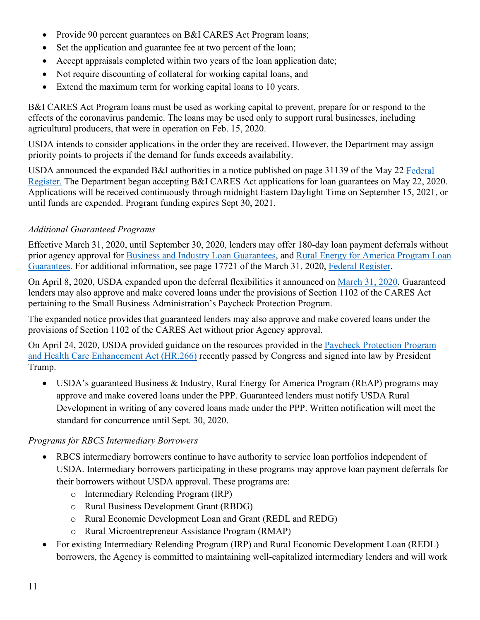- Provide 90 percent guarantees on B&I CARES Act Program loans;
- Set the application and guarantee fee at two percent of the loan;
- Accept appraisals completed within two years of the loan application date;
- Not require discounting of collateral for working capital loans, and
- Extend the maximum term for working capital loans to 10 years.

B&I CARES Act Program loans must be used as working capital to prevent, prepare for or respond to the effects of the coronavirus pandemic. The loans may be used only to support rural businesses, including agricultural producers, that were in operation on Feb. 15, 2020.

USDA intends to consider applications in the order they are received. However, the Department may assign priority points to projects if the demand for funds exceeds availability.

USDA announced the expanded B&I authorities in a notice published on page 31139 of the May 22 [Federal](https://www.govinfo.gov/content/pkg/FR-2020-05-22/pdf/2020-11243.pdf)  [Register.](https://www.govinfo.gov/content/pkg/FR-2020-05-22/pdf/2020-11243.pdf) The Department began accepting B&I CARES Act applications for loan guarantees on May 22, 2020. Applications will be received continuously through midnight Eastern Daylight Time on September 15, 2021, or until funds are expended. Program funding expires Sept 30, 2021.

### *Additional Guaranteed Programs*

Effective March 31, 2020, until September 30, 2020, lenders may offer 180-day loan payment deferrals without prior agency approval for [Business and Industry Loan Guarantees,](https://www.rd.usda.gov/programs-services/business-industry-loan-guarantees) and [Rural Energy for America Program Loan](https://www.rd.usda.gov/programs-services/rural-energy-america-program-renewable-energy-systems-energy-efficiency)  [Guarantees.](https://www.rd.usda.gov/programs-services/rural-energy-america-program-renewable-energy-systems-energy-efficiency) For additional information, see page 17721 of the March 31, 2020, [Federal Register.](https://www.govinfo.gov/content/pkg/FR-2020-03-31/pdf/2020-06706.pdf)

On April 8, 2020, USDA expanded upon the deferral flexibilities it announced on [March 31, 2020.](https://www.rd.usda.gov/sites/default/files/USDA_RD_SA_COVID19_Guarantee_Loan_Deferral_Payments03312020.pdf) Guaranteed lenders may also approve and make covered loans under the provisions of Section 1102 of the CARES Act pertaining to the Small Business Administration's Paycheck Protection Program.

The expanded notice provides that guaranteed lenders may also approve and make covered loans under the provisions of Section 1102 of the CARES Act without prior Agency approval.

On April 24, 2020, USDA provided guidance on the resources provided in the [Paycheck Protection Program](https://www.congress.gov/bill/116th-congress/house-bill/266?q=%7B%22search%22%3A%5B%22HR+266%22%5D%7D&s=1&r=1)  [and Health Care Enhancement Act \(HR.266\)](https://www.congress.gov/bill/116th-congress/house-bill/266?q=%7B%22search%22%3A%5B%22HR+266%22%5D%7D&s=1&r=1) recently passed by Congress and signed into law by President Trump.

• USDA's guaranteed Business & Industry, Rural Energy for America Program (REAP) programs may approve and make covered loans under the PPP. Guaranteed lenders must notify USDA Rural Development in writing of any covered loans made under the PPP. Written notification will meet the standard for concurrence until Sept. 30, 2020.

#### *Programs for RBCS Intermediary Borrowers*

- RBCS intermediary borrowers continue to have authority to service loan portfolios independent of USDA. Intermediary borrowers participating in these programs may approve loan payment deferrals for their borrowers without USDA approval. These programs are:
	- o Intermediary Relending Program (IRP)
	- o Rural Business Development Grant (RBDG)
	- o Rural Economic Development Loan and Grant (REDL and REDG)
	- o Rural Microentrepreneur Assistance Program (RMAP)
- For existing Intermediary Relending Program (IRP) and Rural Economic Development Loan (REDL) borrowers, the Agency is committed to maintaining well-capitalized intermediary lenders and will work